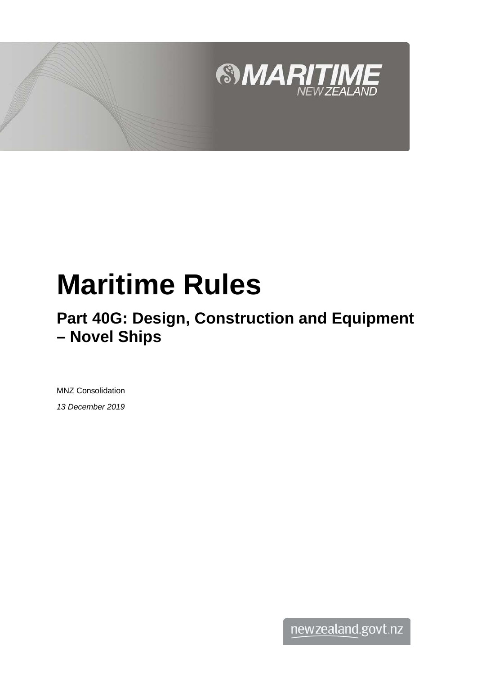

# **Maritime Rules**

# **Part 40G: Design, Construction and Equipment – Novel Ships**

MNZ Consolidation *13 December 2019*

newzealand.govt.nz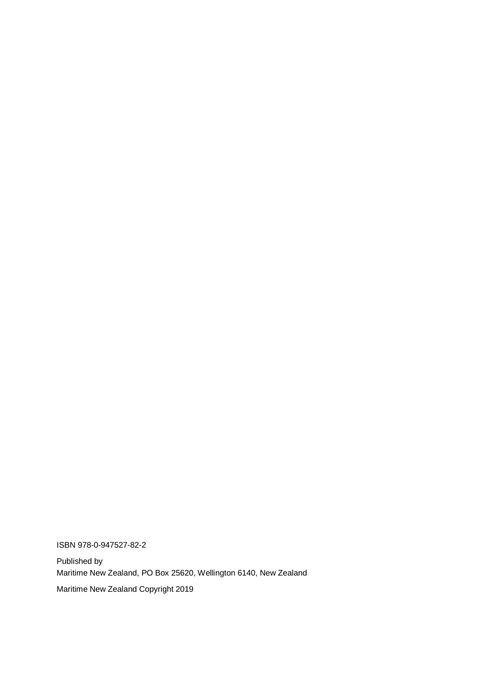ISBN 978-0-947527-82-2

Published by Maritime New Zealand, PO Box 25620, Wellington 6140, New Zealand Maritime New Zealand Copyright 2019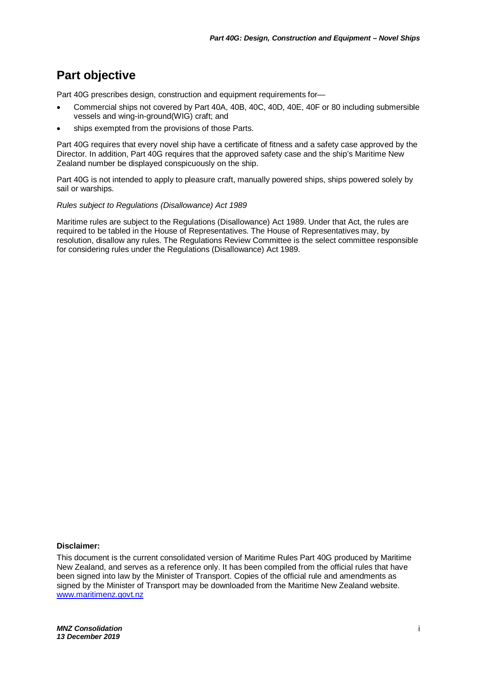## **Part objective**

Part 40G prescribes design, construction and equipment requirements for-

- Commercial ships not covered by Part 40A, 40B, 40C, 40D, 40E, 40F or 80 including submersible vessels and wing-in-ground(WIG) craft; and
- ships exempted from the provisions of those Parts.

Part 40G requires that every novel ship have a certificate of fitness and a safety case approved by the Director. In addition, Part 40G requires that the approved safety case and the ship's Maritime New Zealand number be displayed conspicuously on the ship.

Part 40G is not intended to apply to pleasure craft, manually powered ships, ships powered solely by sail or warships.

#### *Rules subject to Regulations (Disallowance) Act 1989*

Maritime rules are subject to the Regulations (Disallowance) Act 1989. Under that Act, the rules are required to be tabled in the House of Representatives. The House of Representatives may, by resolution, disallow any rules. The Regulations Review Committee is the select committee responsible for considering rules under the Regulations (Disallowance) Act 1989.

#### **Disclaimer:**

This document is the current consolidated version of Maritime Rules Part 40G produced by Maritime New Zealand, and serves as a reference only. It has been compiled from the official rules that have been signed into law by the Minister of Transport. Copies of the official rule and amendments as signed by the Minister of Transport may be downloaded from the Maritime New Zealand website. [www.maritimenz.govt.nz](http://www.maritimenz.govt.nz/)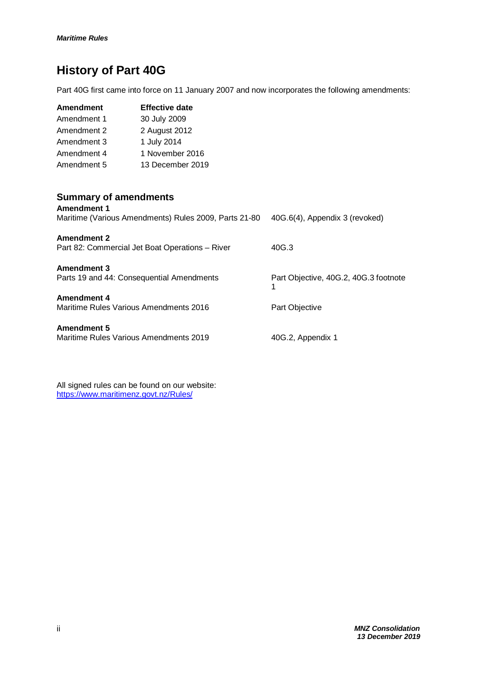# **History of Part 40G**

Part 40G first came into force on 11 January 2007 and now incorporates the following amendments:

| <b>Amendment</b> | <b>Effective date</b> |
|------------------|-----------------------|
| Amendment 1      | 30 July 2009          |
| Amendment 2      | 2 August 2012         |
| Amendment 3      | 1 July 2014           |
| Amendment 4      | 1 November 2016       |
| Amendment 5      | 13 December 2019      |

### **Summary of amendments**

| <b>Amendment 1</b><br>Maritime (Various Amendments) Rules 2009, Parts 21-80 | 40G.6(4), Appendix 3 (revoked)             |
|-----------------------------------------------------------------------------|--------------------------------------------|
| <b>Amendment 2</b><br>Part 82: Commercial Jet Boat Operations – River       | 40G.3                                      |
| <b>Amendment 3</b><br>Parts 19 and 44: Consequential Amendments             | Part Objective, 40G.2, 40G.3 footnote<br>1 |
| <b>Amendment 4</b><br>Maritime Rules Various Amendments 2016                | Part Objective                             |
| <b>Amendment 5</b><br>Maritime Rules Various Amendments 2019                | 40G.2, Appendix 1                          |

All signed rules can be found on our website: <https://www.maritimenz.govt.nz/Rules/>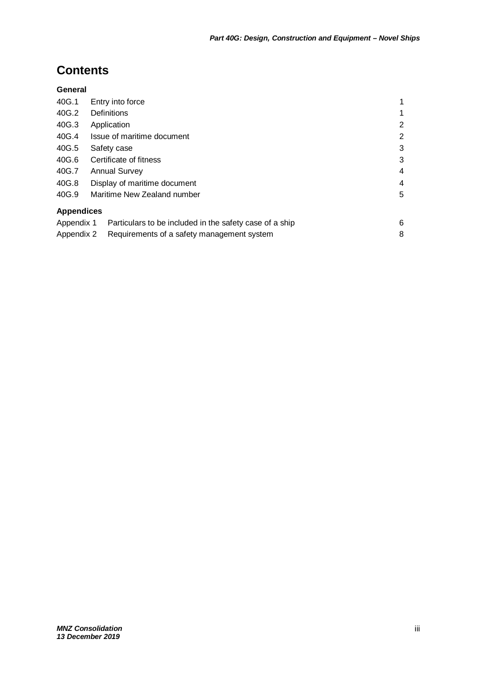# **Contents**

#### **General**

| 40G.1             | Entry into force                                        |   |
|-------------------|---------------------------------------------------------|---|
| 40G.2             | <b>Definitions</b>                                      | 1 |
| 40G.3             | Application                                             | 2 |
| 40G.4             | Issue of maritime document                              | 2 |
| 40G.5             | Safety case                                             | 3 |
| 40G.6             | Certificate of fitness                                  | 3 |
| 40G.7             | <b>Annual Survey</b>                                    | 4 |
| 40G.8             | Display of maritime document                            | 4 |
| 40G.9             | Maritime New Zealand number                             | 5 |
| <b>Appendices</b> |                                                         |   |
| Appendix 1        | Particulars to be included in the safety case of a ship | 6 |
| Appendix 2        | Requirements of a safety management system              | 8 |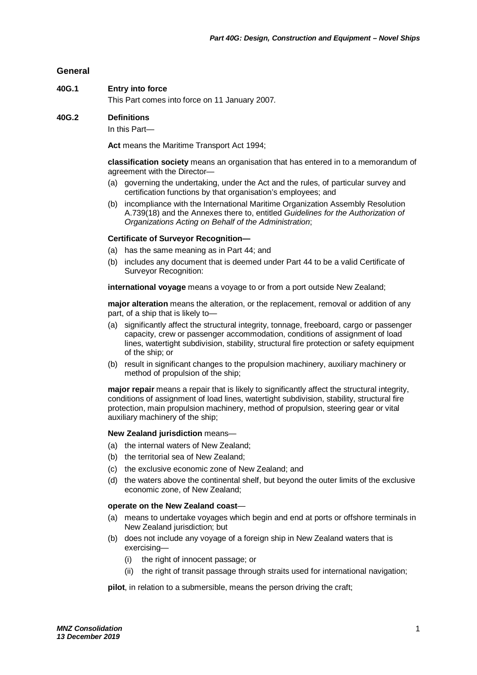#### **General**

#### **40G.1 Entry into force**

This Part comes into force on 11 January 2007*.*

#### **40G.2 Definitions**

In this Part—

**Act** means the Maritime Transport Act 1994;

**classification society** means an organisation that has entered in to a memorandum of agreement with the Director—

- (a) governing the undertaking, under the Act and the rules, of particular survey and certification functions by that organisation's employees; and
- (b) incompliance with the International Maritime Organization Assembly Resolution A.739(18) and the Annexes there to, entitled *Guidelines for the Authorization of Organizations Acting on Behalf of the Administration*;

#### **Certificate of Surveyor Recognition—**

- (a) has the same meaning as in Part 44; and
- (b) includes any document that is deemed under Part 44 to be a valid Certificate of Surveyor Recognition:

**international voyage** means a voyage to or from a port outside New Zealand;

**major alteration** means the alteration, or the replacement, removal or addition of any part, of a ship that is likely to—

- (a) significantly affect the structural integrity, tonnage, freeboard, cargo or passenger capacity, crew or passenger accommodation, conditions of assignment of load lines, watertight subdivision, stability, structural fire protection or safety equipment of the ship; or
- (b) result in significant changes to the propulsion machinery, auxiliary machinery or method of propulsion of the ship;

**major repair** means a repair that is likely to significantly affect the structural integrity, conditions of assignment of load lines, watertight subdivision, stability, structural fire protection, main propulsion machinery, method of propulsion, steering gear or vital auxiliary machinery of the ship;

#### **New Zealand jurisdiction** means—

- (a) the internal waters of New Zealand;
- (b) the territorial sea of New Zealand;
- (c) the exclusive economic zone of New Zealand; and
- (d) the waters above the continental shelf, but beyond the outer limits of the exclusive economic zone, of New Zealand;

#### **operate on the New Zealand coast**—

- (a) means to undertake voyages which begin and end at ports or offshore terminals in New Zealand jurisdiction; but
- (b) does not include any voyage of a foreign ship in New Zealand waters that is exercising—
	- (i) the right of innocent passage; or
	- (ii) the right of transit passage through straits used for international navigation;

**pilot**, in relation to a submersible, means the person driving the craft;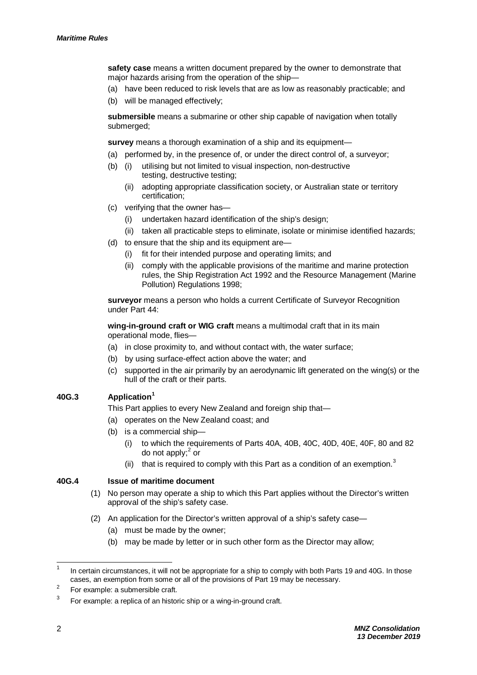**safety case** means a written document prepared by the owner to demonstrate that major hazards arising from the operation of the ship—

- (a) have been reduced to risk levels that are as low as reasonably practicable; and
- (b) will be managed effectively;

**submersible** means a submarine or other ship capable of navigation when totally submerged;

**survey** means a thorough examination of a ship and its equipment—

- (a) performed by, in the presence of, or under the direct control of, a surveyor;
- (b) (i) utilising but not limited to visual inspection, non-destructive testing, destructive testing;
	- (ii) adopting appropriate classification society, or Australian state or territory certification;
- (c) verifying that the owner has—
	- (i) undertaken hazard identification of the ship's design;
	- (ii) taken all practicable steps to eliminate, isolate or minimise identified hazards;
- (d) to ensure that the ship and its equipment are—
	- (i) fit for their intended purpose and operating limits; and
	- (ii) comply with the applicable provisions of the maritime and marine protection rules, the Ship Registration Act 1992 and the Resource Management (Marine Pollution) Regulations 1998;

**surveyor** means a person who holds a current Certificate of Surveyor Recognition under Part 44:

**wing-in-ground craft or WIG craft** means a multimodal craft that in its main operational mode, flies—

- (a) in close proximity to, and without contact with, the water surface;
- (b) by using surface-effect action above the water; and
- (c) supported in the air primarily by an aerodynamic lift generated on the wing(s) or the hull of the craft or their parts.

#### **40G.3 Application[1](#page-6-0)**

This Part applies to every New Zealand and foreign ship that—

- (a) operates on the New Zealand coast; and
- (b) is a commercial ship—
	- (i) to which the requirements of Parts 40A, 40B, 40C, 40D, 40E, 40F, 80 and 82 do not apply; $<sup>2</sup>$  $<sup>2</sup>$  $<sup>2</sup>$  or</sup>
	- (ii) that is required to comply with this Part as a condition of an exemption.<sup>[3](#page-6-2)</sup>

#### **40G.4 Issue of maritime document**

- (1) No person may operate a ship to which this Part applies without the Director's written approval of the ship's safety case.
- (2) An application for the Director's written approval of a ship's safety case—
	- (a) must be made by the owner;
	- (b) may be made by letter or in such other form as the Director may allow;

<span id="page-6-0"></span> $1$  In certain circumstances, it will not be appropriate for a ship to comply with both Parts 19 and 40G. In those cases, an exemption from some or all of the provisions of Part 19 may be necessary.

<span id="page-6-1"></span> $2^2$  For example: a submersible craft.

<span id="page-6-2"></span> $3<sup>3</sup>$  For example: a replica of an historic ship or a wing-in-ground craft.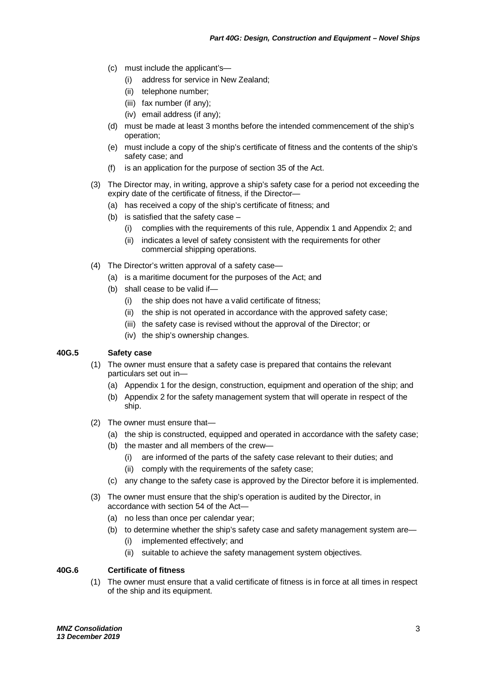- (c) must include the applicant's—
	- (i) address for service in New Zealand;
	- (ii) telephone number;
	- (iii) fax number (if any);
	- (iv) email address (if any);
- (d) must be made at least 3 months before the intended commencement of the ship's operation;
- (e) must include a copy of the ship's certificate of fitness and the contents of the ship's safety case; and
- (f) is an application for the purpose of section 35 of the Act.
- (3) The Director may, in writing, approve a ship's safety case for a period not exceeding the expiry date of the certificate of fitness, if the Director—
	- (a) has received a copy of the ship's certificate of fitness; and
	- (b) is satisfied that the safety case
		- (i) complies with the requirements of this rule, Appendix 1 and Appendix 2; and
		- (ii) indicates a level of safety consistent with the requirements for other commercial shipping operations.
- (4) The Director's written approval of a safety case—
	- (a) is a maritime document for the purposes of the Act; and
	- (b) shall cease to be valid if—
		- (i) the ship does not have a valid certificate of fitness;
		- (ii) the ship is not operated in accordance with the approved safety case;
		- (iii) the safety case is revised without the approval of the Director; or
		- (iv) the ship's ownership changes.

#### **40G.5 Safety case**

- (1) The owner must ensure that a safety case is prepared that contains the relevant particulars set out in—
	- (a) Appendix 1 for the design, construction, equipment and operation of the ship; and
	- (b) Appendix 2 for the safety management system that will operate in respect of the ship.
- (2) The owner must ensure that—
	- (a) the ship is constructed, equipped and operated in accordance with the safety case;
	- (b) the master and all members of the crew—
		- (i) are informed of the parts of the safety case relevant to their duties; and
		- (ii) comply with the requirements of the safety case;
	- (c) any change to the safety case is approved by the Director before it is implemented.
- (3) The owner must ensure that the ship's operation is audited by the Director, in accordance with section 54 of the Act—
	- (a) no less than once per calendar year;
	- (b) to determine whether the ship's safety case and safety management system are—
		- (i) implemented effectively; and
		- (ii) suitable to achieve the safety management system objectives.

#### **40G.6 Certificate of fitness**

(1) The owner must ensure that a valid certificate of fitness is in force at all times in respect of the ship and its equipment.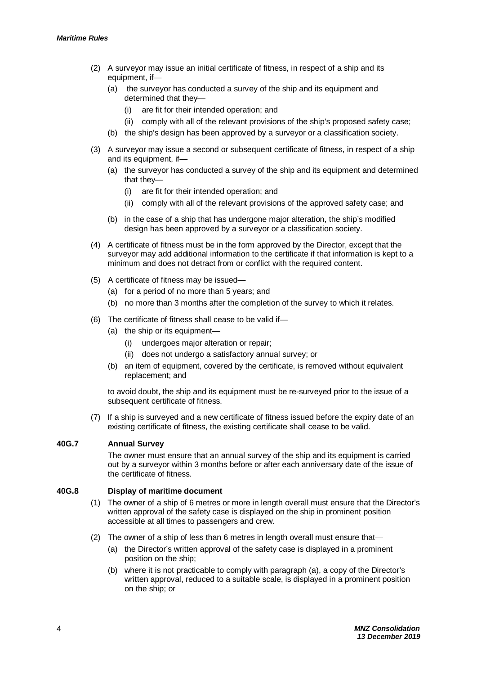- (2) A surveyor may issue an initial certificate of fitness, in respect of a ship and its equipment, if—
	- (a) the surveyor has conducted a survey of the ship and its equipment and determined that they
		- are fit for their intended operation; and
		- (ii) comply with all of the relevant provisions of the ship's proposed safety case;
	- (b) the ship's design has been approved by a surveyor or a classification society.
- (3) A surveyor may issue a second or subsequent certificate of fitness, in respect of a ship and its equipment, if—
	- (a) the surveyor has conducted a survey of the ship and its equipment and determined that they—
		- (i) are fit for their intended operation; and
		- (ii) comply with all of the relevant provisions of the approved safety case; and
	- (b) in the case of a ship that has undergone major alteration, the ship's modified design has been approved by a surveyor or a classification society.
- (4) A certificate of fitness must be in the form approved by the Director, except that the surveyor may add additional information to the certificate if that information is kept to a minimum and does not detract from or conflict with the required content.
- (5) A certificate of fitness may be issued—
	- (a) for a period of no more than 5 years; and
	- (b) no more than 3 months after the completion of the survey to which it relates.
- (6) The certificate of fitness shall cease to be valid if—
	- (a) the ship or its equipment—
		- (i) undergoes major alteration or repair;
		- (ii) does not undergo a satisfactory annual survey; or
	- (b) an item of equipment, covered by the certificate, is removed without equivalent replacement; and

to avoid doubt, the ship and its equipment must be re-surveyed prior to the issue of a subsequent certificate of fitness.

(7) If a ship is surveyed and a new certificate of fitness issued before the expiry date of an existing certificate of fitness, the existing certificate shall cease to be valid.

#### **40G.7 Annual Survey**

The owner must ensure that an annual survey of the ship and its equipment is carried out by a surveyor within 3 months before or after each anniversary date of the issue of the certificate of fitness.

#### **40G.8 Display of maritime document**

- (1) The owner of a ship of 6 metres or more in length overall must ensure that the Director's written approval of the safety case is displayed on the ship in prominent position accessible at all times to passengers and crew.
- (2) The owner of a ship of less than 6 metres in length overall must ensure that—
	- (a) the Director's written approval of the safety case is displayed in a prominent position on the ship;
	- (b) where it is not practicable to comply with paragraph (a), a copy of the Director's written approval, reduced to a suitable scale, is displayed in a prominent position on the ship; or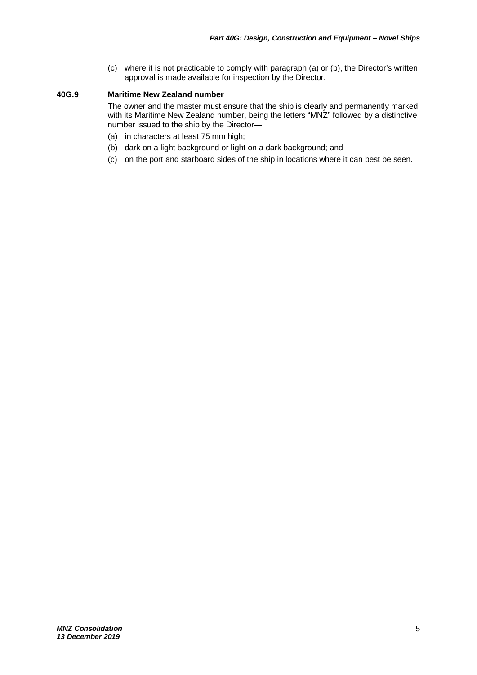(c) where it is not practicable to comply with paragraph (a) or (b), the Director's written approval is made available for inspection by the Director.

#### **40G.9 Maritime New Zealand number**

The owner and the master must ensure that the ship is clearly and permanently marked with its Maritime New Zealand number, being the letters "MNZ" followed by a distinctive number issued to the ship by the Director—

- (a) in characters at least 75 mm high;
- (b) dark on a light background or light on a dark background; and
- (c) on the port and starboard sides of the ship in locations where it can best be seen.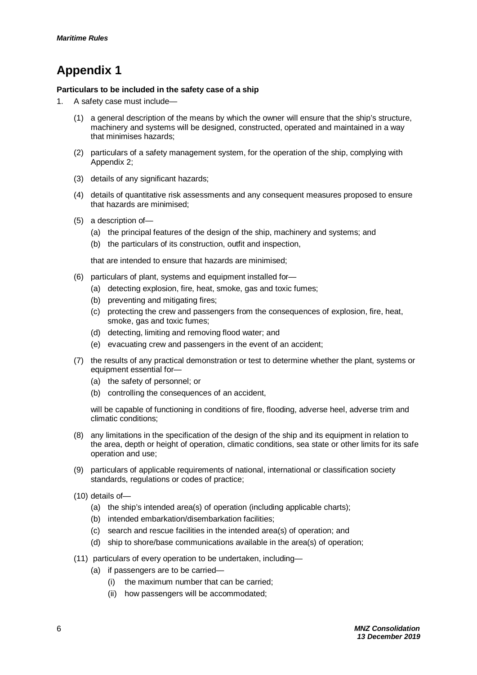# **Appendix 1**

#### **Particulars to be included in the safety case of a ship**

- 1. A safety case must include—
	- (1) a general description of the means by which the owner will ensure that the ship's structure, machinery and systems will be designed, constructed, operated and maintained in a way that minimises hazards;
	- (2) particulars of a safety management system, for the operation of the ship, complying with Appendix 2;
	- (3) details of any significant hazards;
	- (4) details of quantitative risk assessments and any consequent measures proposed to ensure that hazards are minimised;
	- (5) a description of—
		- (a) the principal features of the design of the ship, machinery and systems; and
		- (b) the particulars of its construction, outfit and inspection,

that are intended to ensure that hazards are minimised;

- (6) particulars of plant, systems and equipment installed for—
	- (a) detecting explosion, fire, heat, smoke, gas and toxic fumes;
	- (b) preventing and mitigating fires;
	- (c) protecting the crew and passengers from the consequences of explosion, fire, heat, smoke, gas and toxic fumes;
	- (d) detecting, limiting and removing flood water; and
	- (e) evacuating crew and passengers in the event of an accident;
- (7) the results of any practical demonstration or test to determine whether the plant, systems or equipment essential for—
	- (a) the safety of personnel; or
	- (b) controlling the consequences of an accident,

will be capable of functioning in conditions of fire, flooding, adverse heel, adverse trim and climatic conditions;

- (8) any limitations in the specification of the design of the ship and its equipment in relation to the area, depth or height of operation, climatic conditions, sea state or other limits for its safe operation and use;
- (9) particulars of applicable requirements of national, international or classification society standards, regulations or codes of practice;
- (10) details of—
	- (a) the ship's intended area(s) of operation (including applicable charts);
	- (b) intended embarkation/disembarkation facilities;
	- (c) search and rescue facilities in the intended area(s) of operation; and
	- (d) ship to shore/base communications available in the area(s) of operation;
- (11) particulars of every operation to be undertaken, including—
	- (a) if passengers are to be carried—
		- (i) the maximum number that can be carried;
		- (ii) how passengers will be accommodated;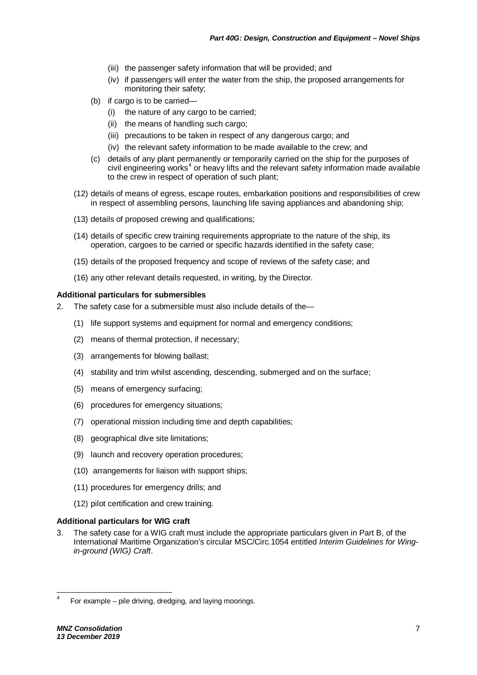- (iii) the passenger safety information that will be provided; and
- (iv) if passengers will enter the water from the ship, the proposed arrangements for monitoring their safety;
- (b) if cargo is to be carried—
	- (i) the nature of any cargo to be carried;
	- (ii) the means of handling such cargo;
	- (iii) precautions to be taken in respect of any dangerous cargo; and
	- (iv) the relevant safety information to be made available to the crew; and
- (c) details of any plant permanently or temporarily carried on the ship for the purposes of civil engineering works<sup>[4](#page-11-0)</sup> or heavy lifts and the relevant safety information made available to the crew in respect of operation of such plant;
- (12) details of means of egress, escape routes, embarkation positions and responsibilities of crew in respect of assembling persons, launching life saving appliances and abandoning ship;
- (13) details of proposed crewing and qualifications;
- (14) details of specific crew training requirements appropriate to the nature of the ship, its operation, cargoes to be carried or specific hazards identified in the safety case;
- (15) details of the proposed frequency and scope of reviews of the safety case; and
- (16) any other relevant details requested, in writing, by the Director.

#### **Additional particulars for submersibles**

- 2. The safety case for a submersible must also include details of the—
	- (1) life support systems and equipment for normal and emergency conditions;
	- (2) means of thermal protection, if necessary;
	- (3) arrangements for blowing ballast;
	- (4) stability and trim whilst ascending, descending, submerged and on the surface;
	- (5) means of emergency surfacing;
	- (6) procedures for emergency situations;
	- (7) operational mission including time and depth capabilities;
	- (8) geographical dive site limitations;
	- (9) launch and recovery operation procedures;
	- (10) arrangements for liaison with support ships;
	- (11) procedures for emergency drills; and
	- (12) pilot certification and crew training.

#### **Additional particulars for WIG craft**

3. The safety case for a WIG craft must include the appropriate particulars given in Part B, of the International Maritime Organization's circular MSC/Circ.1054 entitled *Interim Guidelines for Wingin-ground (WIG) Craft*.

<span id="page-11-0"></span> <sup>4</sup> For example – pile driving, dredging, and laying moorings.